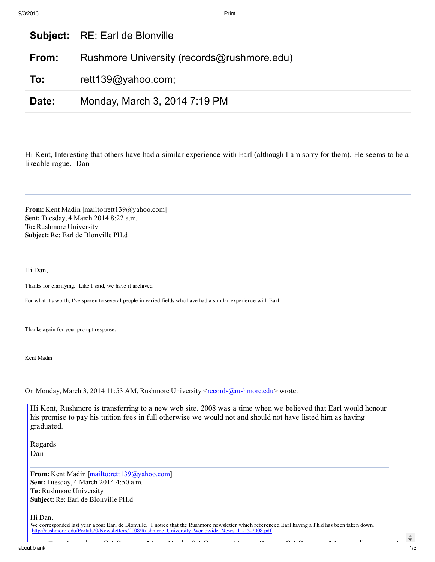|       | <b>Subject:</b> RE: Earl de Blonville      |
|-------|--------------------------------------------|
| From: | Rushmore University (records@rushmore.edu) |
| To:   | rett139@yahoo.com;                         |
| Date: | Monday, March 3, 2014 7:19 PM              |

Hi Kent, Interesting that others have had a similar experience with Earl (although I am sorry for them). He seems to be a likeable rogue. Dan

From: Kent Madin [mailto:rett139@yahoo.com] Sent: Tuesday, 4 March 2014 8:22 a.m. To: Rushmore University Subject: Re: Earl de Blonville PH.d

Hi Dan,

Thanks for clarifying. Like I said, we have it archived.

For what it's worth, I've spoken to several people in varied fields who have had a similar experience with Earl.

Thanks again for your prompt response.

Kent Madin

On Monday, March 3, 2014 11:53 AM, Rushmore University <[records@rushmore.edu>](mailto:records@rushmore.edu) wrote:

Hi Kent, Rushmore is transferring to a new web site. 2008 was a time when we believed that Earl would honour his promise to pay his tuition fees in full otherwise we would not and should not have listed him as having graduated.

Regards Dan

From: Kent Madin [<mailto:rett139@yahoo.com>] Sent: Tuesday, 4 March 2014 4:50 a.m. To: Rushmore University Subject: Re: Earl de Blonville PH.d

Hi Dan,

We corresponded last year about Earl de Blonville. I notice that the Rushmore newsletter which referenced Earl having a Ph.d has been taken down. http://rushmore.edu/Portals/0/Newsletters/2008/Rushmore\_University\_Worldwide\_News\_11-15-2008.pdf

London: 2:50 pm New York: 9:50 am Hong Kong: 9:50 pm Mongolia ‐ most: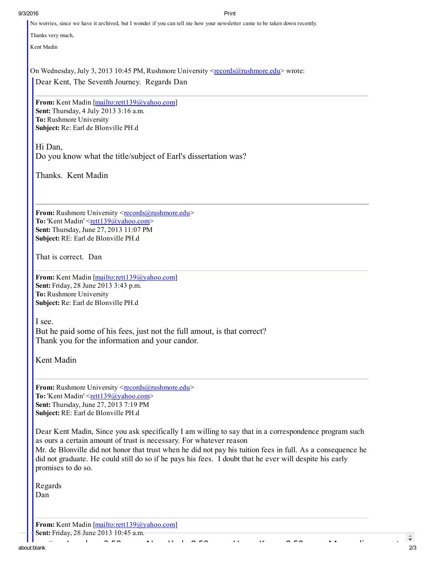## 9/3/2016 Print

No worries, since we have it archived, but I wonder if you can tell me how your newsletter came to be taken down recently.

Thanks very much,

Kent Madin

On Wednesday, July 3, 2013 10:45 PM, Rushmore University < $records@rushmore.edu$  wrote:</u>

Dear Kent, The Seventh Journey. Regards Dan

From: Kent Madin [\[mailto:rett139@yahoo.com\]](mailto:rett139@yahoo.com) Sent: Thursday, 4 July 2013 3:16 a.m. To: Rushmore University Subject: Re: Earl de Blonville PH.d

Hi Dan, Do you know what the title/subject of Earl's dissertation was?

Thanks. Kent Madin

From: Rushmore University <[records@rushmore.edu>](mailto:records@rushmore.edu) To: 'Kent Madin' <[rett139@yahoo.com>](mailto:rett139@yahoo.com) Sent: Thursday, June 27, 2013 11:07 PM Subject: RE: Earl de Blonville PH.d

That is correct. Dan

From: Kent Madin [\[mailto:rett139@yahoo.com\]](mailto:rett139@yahoo.com) Sent: Friday, 28 June 2013 3:43 p.m. To: Rushmore University Subject: Re: Earl de Blonville PH.d

I see.

But he paid some of his fees, just not the full amout, is that correct? Thank you for the information and your candor.

Kent Madin

From: Rushmore University <[records@rushmore.edu>](mailto:records@rushmore.edu) To: 'Kent Madin' < $r$ ett139@yahoo.com> Sent: Thursday, June 27, 2013 7:19 PM Subject: RE: Earl de Blonville PH.d

Dear Kent Madin, Since you ask specifically I am willing to say that in a correspondence program such as ours a certain amount of trust is necessary. For whatever reason Mr. de Blonville did not honor that trust when he did not pay his tuition fees in full. As a consequence he did not graduate. He could still do so if he pays his fees. I doubt that he ever will despite his early promises to do so.

London: 2:50 pm New York: 9:50 am Hong Kong: 9:50 pm Mongolia ‐ most:

Regards Dan

From: Kent Madin [\[mailto:rett139@yahoo.com\]](mailto:rett139@yahoo.com)